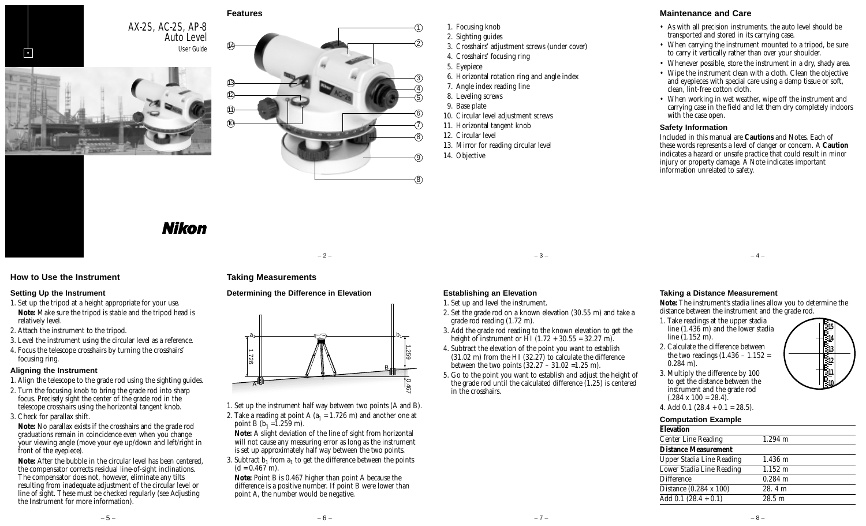

# **Features**



- 1. Focusing knob
- 02. Sighting guides
- 03. Crosshairs' adjustment screws (under cover)
- 04. Crosshairs' focusing ring
- 05. Eyepiece
- 06. Horizontal rotation ring and angle index
- 07. Angle index reading line
- 8. Leveling screws
- 9. Base plate
- 10. Circular level adjustment screws
- 11. Horizontal tangent knob
- 12. Circular level
- 13. Mirror for reading circular level
- 14. Objective

# **Maintenance and Care**

- As with all precision instruments, the auto level should be transported and stored in its carrying case.
- When carrying the instrument mounted to a tripod, be sure to carry it vertically rather than over your shoulder.
- Whenever possible, store the instrument in a dry, shady area.
- Wipe the instrument clean with a cloth. Clean the objective and eyepieces with special care using a damp tissue or soft, clean, lint-free cotton cloth.
- When working in wet weather, wipe off the instrument and carrying case in the field and let them dry completely indoors with the case open.

#### **Safety Information**

Included in this manual are **Cautions** and Notes. Each of these words represents a level of danger or concern. A **Caution** indicates a hazard or unsafe practice that could result in *minor* injury or property damage. A Note indicates important information unrelated to safety.

# Nikon

AX-2S, AC-2S, AP-8

Auto Level

#### **How to Use the Instrument**

#### **Setting Up the Instrument**

- 1. Set up the tripod at a height appropriate for your use.
- **Note:** Make sure the tripod is stable and the tripod head is relatively level.
- 2. Attach the instrument to the tripod.
- 3. Level the instrument using the circular level as a reference.
- 4. Focus the telescope crosshairs by turning the crosshairs' focusing ring.

#### **Aligning the Instrument**

- 1. Align the telescope to the grade rod using the sighting guides.
- 2. Turn the focusing knob to bring the grade rod into sharp focus. Precisely sight the center of the grade rod in the telescope crosshairs using the horizontal tangent knob.
- 3. Check for parallax shift.

**Note:** No parallax exists if the crosshairs and the grade rod graduations remain in coincidence even when you change your viewing angle (move your eye up/down and left/right in front of the eyepiece).

**Note:** After the bubble in the circular level has been centered, the compensator corrects residual line-of-sight inclinations. The compensator does not, however, eliminate any tilts resulting from inadequate adjustment of the circular level or line of sight. These must be checked regularly (see Adjusting the Instrument for more information).

# **Taking Measurements**

#### **Determining the Difference in Elevation**



- 1. Set up the instrument half way between two points (A and B). 2. Take a reading at point A  $(a_1 = 1.726 \text{ m})$  and another one at point B  $(b_1 = 1.259 \text{ m})$ .
- **Note:** A slight deviation of the line of sight from horizontal will not cause any measuring error as long as the instrument is set up approximately half way between the two points.
- 3. Subtract  $b_1$  from  $a_1$  to get the difference between the points  $(d = 0.467$  m).

**Note:** Point B is 0.467 higher than point A because the difference is a positive number. If point B were lower than point A, the number would be negative.

 $-3$  –  $-3$  –  $-4$  –

# **Establishing an Elevation**

- 1. Set up and level the instrument.
- 2. Set the grade rod on a known elevation (30.55 m) and take a grade rod reading (1.72 m).
- 3. Add the grade rod reading to the known elevation to get the height of instrument or HI (1.72 + 30.55 = 32.27 m).
- 4. Subtract the elevation of the point you want to establish  $(31.02 \text{ m})$  from the HI  $(32.27)$  to calculate the difference between the two points  $(32.27 - 31.02 = 1.25 \text{ m})$ .
- 5. Go to the point you want to establish and adjust the height of the grade rod until the calculated difference  $(1.25)$  is centered in the crosshairs.

#### **Taking a Distance Measurement**

**Note:** The instrument's stadia lines allow you to determine the distance between the instrument and the grade rod.

- 1. Take readings at the upper stadia line (1.436 m) and the lower stadia line (1.152 m).
- 2. Calculate the difference between the two readings  $(1.436 - 1.152)$ 0.284 m).

3. Multiply the difference by 100 to get the distance between the instrument and the grade rod  $(.284 \times 100 = 28.4).$ 



| <b>Computation Example</b> |  |
|----------------------------|--|
|----------------------------|--|

| <b>Elevation</b>                 |                   |
|----------------------------------|-------------------|
| <b>Center Line Reading</b>       | $1.294 \;{\rm m}$ |
| <b>Distance Measurement</b>      |                   |
| <b>Upper Stadia Line Reading</b> | $1.436 \;{\rm m}$ |
| Lower Stadia Line Reading        | $1.152 \; m$      |
| <b>Difference</b>                | $0.284$ m         |
| Distance (0.284 x 100)           | 28.4 m            |
| Add 0.1 $(28.4 + 0.1)$           | 28.5 m            |